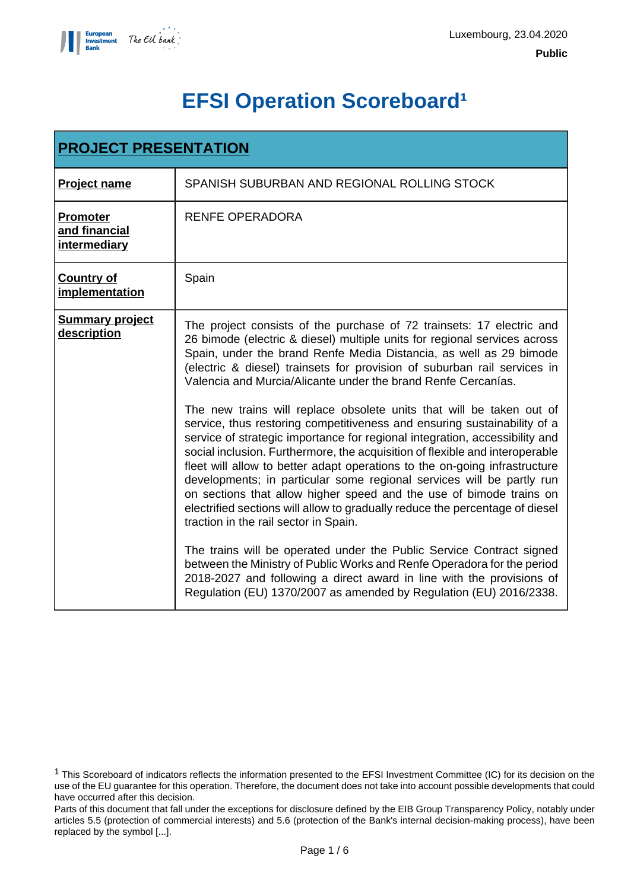

# **EFSI Operation Scoreboard<sup>1</sup>**

| <b>PROJECT PRESENTATION</b>                      |                                                                                                                                                                                                                                                                                                                                                                                                                                                                                                                                                                                                                                                                                                                                                                                                                                                                                                                                                                                                                                                                                                                                                                                                                                                                                                                                                   |  |  |  |
|--------------------------------------------------|---------------------------------------------------------------------------------------------------------------------------------------------------------------------------------------------------------------------------------------------------------------------------------------------------------------------------------------------------------------------------------------------------------------------------------------------------------------------------------------------------------------------------------------------------------------------------------------------------------------------------------------------------------------------------------------------------------------------------------------------------------------------------------------------------------------------------------------------------------------------------------------------------------------------------------------------------------------------------------------------------------------------------------------------------------------------------------------------------------------------------------------------------------------------------------------------------------------------------------------------------------------------------------------------------------------------------------------------------|--|--|--|
| <b>Project name</b>                              | SPANISH SUBURBAN AND REGIONAL ROLLING STOCK                                                                                                                                                                                                                                                                                                                                                                                                                                                                                                                                                                                                                                                                                                                                                                                                                                                                                                                                                                                                                                                                                                                                                                                                                                                                                                       |  |  |  |
| <b>Promoter</b><br>and financial<br>intermediary | <b>RENFE OPERADORA</b>                                                                                                                                                                                                                                                                                                                                                                                                                                                                                                                                                                                                                                                                                                                                                                                                                                                                                                                                                                                                                                                                                                                                                                                                                                                                                                                            |  |  |  |
| <b>Country of</b><br>implementation              | Spain                                                                                                                                                                                                                                                                                                                                                                                                                                                                                                                                                                                                                                                                                                                                                                                                                                                                                                                                                                                                                                                                                                                                                                                                                                                                                                                                             |  |  |  |
| <b>Summary project</b><br>description            | The project consists of the purchase of 72 trainsets: 17 electric and<br>26 bimode (electric & diesel) multiple units for regional services across<br>Spain, under the brand Renfe Media Distancia, as well as 29 bimode<br>(electric & diesel) trainsets for provision of suburban rail services in<br>Valencia and Murcia/Alicante under the brand Renfe Cercanías.<br>The new trains will replace obsolete units that will be taken out of<br>service, thus restoring competitiveness and ensuring sustainability of a<br>service of strategic importance for regional integration, accessibility and<br>social inclusion. Furthermore, the acquisition of flexible and interoperable<br>fleet will allow to better adapt operations to the on-going infrastructure<br>developments; in particular some regional services will be partly run<br>on sections that allow higher speed and the use of bimode trains on<br>electrified sections will allow to gradually reduce the percentage of diesel<br>traction in the rail sector in Spain.<br>The trains will be operated under the Public Service Contract signed<br>between the Ministry of Public Works and Renfe Operadora for the period<br>2018-2027 and following a direct award in line with the provisions of<br>Regulation (EU) 1370/2007 as amended by Regulation (EU) 2016/2338. |  |  |  |

<sup>1</sup> This Scoreboard of indicators reflects the information presented to the EFSI Investment Committee (IC) for its decision on the use of the EU guarantee for this operation. Therefore, the document does not take into account possible developments that could have occurred after this decision.

Parts of this document that fall under the exceptions for disclosure defined by the EIB Group Transparency Policy, notably under articles 5.5 (protection of commercial interests) and 5.6 (protection of the Bank's internal decision-making process), have been replaced by the symbol [...].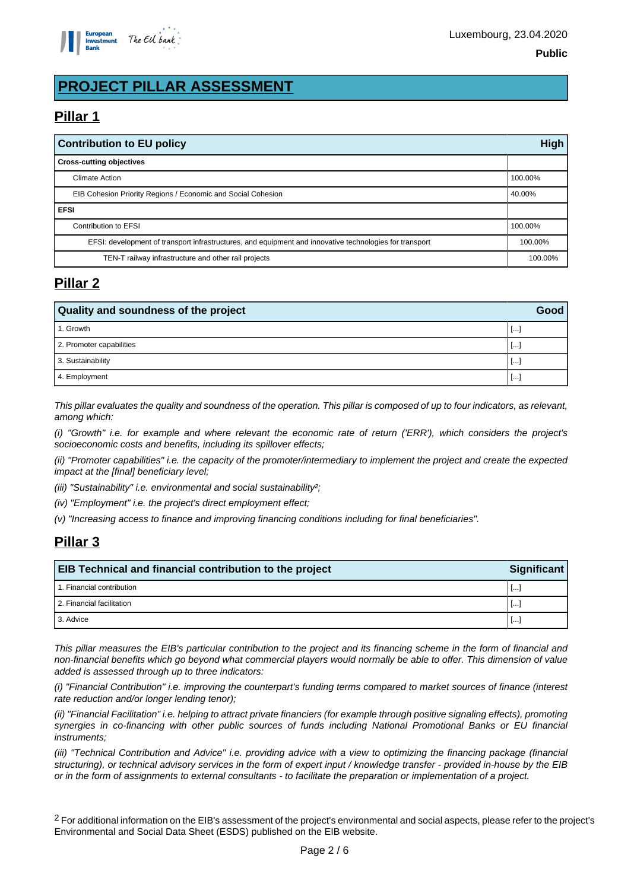

# **PROJECT PILLAR ASSESSMENT**

## **Pillar 1**

| <b>Contribution to EU policy</b>                                                                        |         |  |
|---------------------------------------------------------------------------------------------------------|---------|--|
| <b>Cross-cutting objectives</b>                                                                         |         |  |
| <b>Climate Action</b>                                                                                   | 100.00% |  |
| EIB Cohesion Priority Regions / Economic and Social Cohesion<br>40.00%                                  |         |  |
| <b>EFSI</b>                                                                                             |         |  |
| Contribution to EFSI                                                                                    |         |  |
| EFSI: development of transport infrastructures, and equipment and innovative technologies for transport |         |  |
| TEN-T railway infrastructure and other rail projects                                                    |         |  |

## **Pillar 2**

| <b>Quality and soundness of the project</b> |           |  |
|---------------------------------------------|-----------|--|
| 1. Growth                                   | <b>L.</b> |  |
| 2. Promoter capabilities                    | <b>L.</b> |  |
| 3. Sustainability                           |           |  |
| 4. Employment                               |           |  |

This pillar evaluates the quality and soundness of the operation. This pillar is composed of up to four indicators, as relevant, among which:

(i) "Growth" i.e. for example and where relevant the economic rate of return ('ERR'), which considers the project's socioeconomic costs and benefits, including its spillover effects;

(ii) "Promoter capabilities" i.e. the capacity of the promoter/intermediary to implement the project and create the expected impact at the [final] beneficiary level;

(iii) "Sustainability" i.e. environmental and social sustainability?;

(iv) "Employment" i.e. the project's direct employment effect;

(v) "Increasing access to finance and improving financing conditions including for final beneficiaries".

## **Pillar 3**

| <b>EIB Technical and financial contribution to the project</b><br><b>Significant</b> |          |  |
|--------------------------------------------------------------------------------------|----------|--|
| 1. Financial contribution                                                            | Ŀ.       |  |
| 2. Financial facilitation                                                            | <b>L</b> |  |
| 3. Advice                                                                            |          |  |

This pillar measures the EIB's particular contribution to the project and its financing scheme in the form of financial and non-financial benefits which go beyond what commercial players would normally be able to offer. This dimension of value added is assessed through up to three indicators:

(i) "Financial Contribution" i.e. improving the counterpart's funding terms compared to market sources of finance (interest rate reduction and/or longer lending tenor);

(ii) "Financial Facilitation" i.e. helping to attract private financiers (for example through positive signaling effects), promoting synergies in co-financing with other public sources of funds including National Promotional Banks or EU financial instruments;

(iii) "Technical Contribution and Advice" i.e. providing advice with a view to optimizing the financing package (financial structuring), or technical advisory services in the form of expert input / knowledge transfer - provided in-house by the EIB or in the form of assignments to external consultants - to facilitate the preparation or implementation of a project.

<sup>2</sup> For additional information on the EIB's assessment of the project's environmental and social aspects, please refer to the project's Environmental and Social Data Sheet (ESDS) published on the EIB website.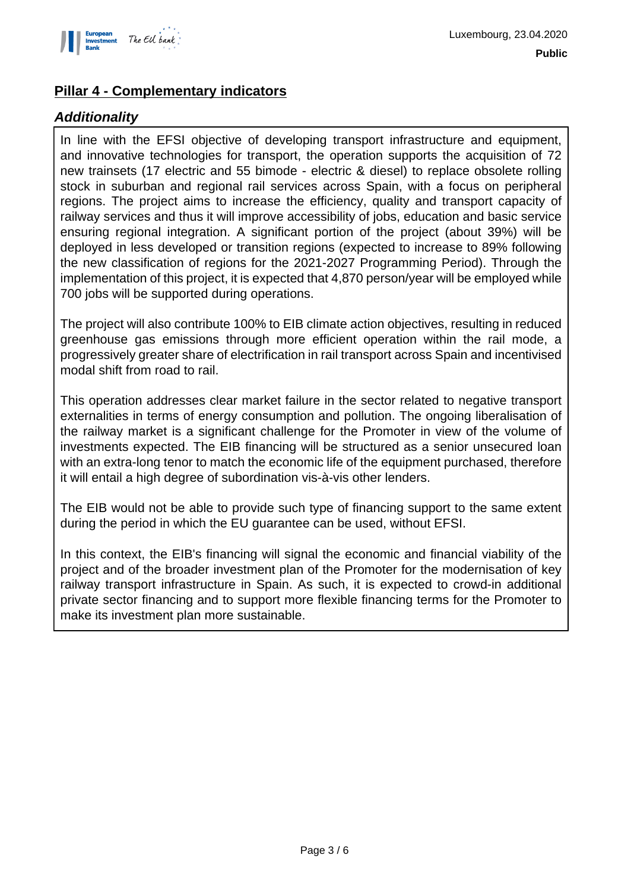

### **Pillar 4 - Complementary indicators**

#### **Additionality**

In line with the EFSI objective of developing transport infrastructure and equipment, and innovative technologies for transport, the operation supports the acquisition of 72 new trainsets (17 electric and 55 bimode - electric & diesel) to replace obsolete rolling stock in suburban and regional rail services across Spain, with a focus on peripheral regions. The project aims to increase the efficiency, quality and transport capacity of railway services and thus it will improve accessibility of jobs, education and basic service ensuring regional integration. A significant portion of the project (about 39%) will be deployed in less developed or transition regions (expected to increase to 89% following the new classification of regions for the 2021-2027 Programming Period). Through the implementation of this project, it is expected that 4,870 person/year will be employed while 700 jobs will be supported during operations.

The project will also contribute 100% to EIB climate action objectives, resulting in reduced greenhouse gas emissions through more efficient operation within the rail mode, a progressively greater share of electrification in rail transport across Spain and incentivised modal shift from road to rail.

This operation addresses clear market failure in the sector related to negative transport externalities in terms of energy consumption and pollution. The ongoing liberalisation of the railway market is a significant challenge for the Promoter in view of the volume of investments expected. The EIB financing will be structured as a senior unsecured loan with an extra-long tenor to match the economic life of the equipment purchased, therefore it will entail a high degree of subordination vis-à-vis other lenders.

The EIB would not be able to provide such type of financing support to the same extent during the period in which the EU guarantee can be used, without EFSI.

In this context, the EIB's financing will signal the economic and financial viability of the project and of the broader investment plan of the Promoter for the modernisation of key railway transport infrastructure in Spain. As such, it is expected to crowd-in additional private sector financing and to support more flexible financing terms for the Promoter to make its investment plan more sustainable.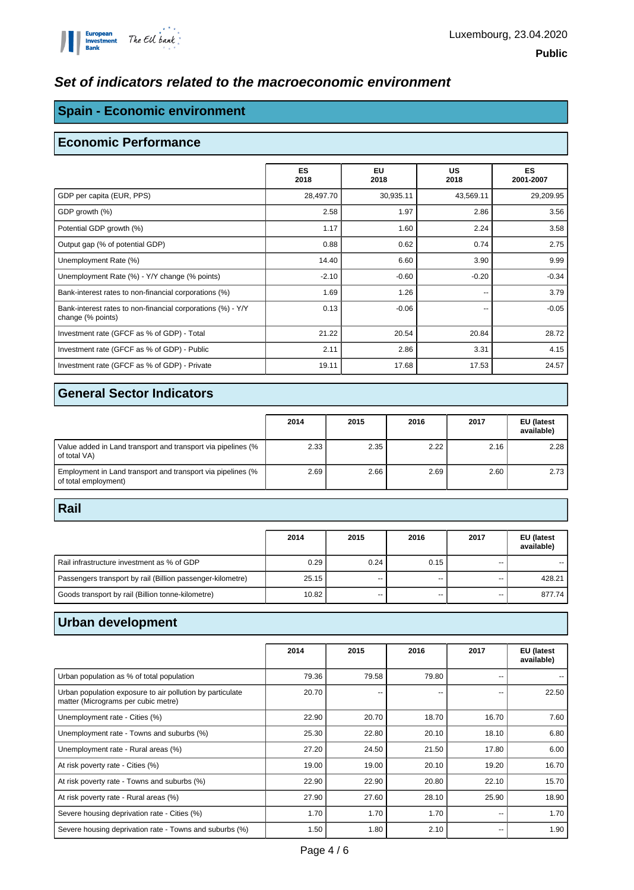#### **Set of indicators related to the macroeconomic environment**

#### **Spain - Economic environment**

#### **Economic Performance**

|                                                                                  | <b>ES</b><br>2018 | EU<br>2018 | <b>US</b><br>2018 | <b>ES</b><br>2001-2007 |
|----------------------------------------------------------------------------------|-------------------|------------|-------------------|------------------------|
| GDP per capita (EUR, PPS)                                                        | 28,497.70         | 30,935.11  | 43,569.11         | 29,209.95              |
| GDP growth (%)                                                                   | 2.58              | 1.97       | 2.86              | 3.56                   |
| Potential GDP growth (%)                                                         | 1.17              | 1.60       | 2.24              | 3.58                   |
| Output gap (% of potential GDP)                                                  | 0.88              | 0.62       | 0.74              | 2.75                   |
| Unemployment Rate (%)                                                            | 14.40             | 6.60       | 3.90              | 9.99                   |
| Unemployment Rate (%) - Y/Y change (% points)                                    | $-2.10$           | $-0.60$    | $-0.20$           | $-0.34$                |
| Bank-interest rates to non-financial corporations (%)                            | 1.69              | 1.26       | --                | 3.79                   |
| Bank-interest rates to non-financial corporations (%) - Y/Y<br>change (% points) | 0.13              | $-0.06$    | --                | $-0.05$                |
| Investment rate (GFCF as % of GDP) - Total                                       | 21.22             | 20.54      | 20.84             | 28.72                  |
| Investment rate (GFCF as % of GDP) - Public                                      | 2.11              | 2.86       | 3.31              | 4.15                   |
| Investment rate (GFCF as % of GDP) - Private                                     | 19.11             | 17.68      | 17.53             | 24.57                  |

#### **General Sector Indicators**

|                                                                                     | 2014 | 2015 | 2016 | 2017 | EU (latest<br>available) |
|-------------------------------------------------------------------------------------|------|------|------|------|--------------------------|
| Value added in Land transport and transport via pipelines (%<br>of total VA)        | 2.33 | 2.35 | 2.22 | 2.16 | 2.28                     |
| Employment in Land transport and transport via pipelines (%<br>of total employment) | 2.69 | 2.66 | 2.69 | 2.60 | 2.73                     |

#### **Rail**

|                                                            | 2014  | 2015 | 2016 | 2017 | EU (latest<br>available) |
|------------------------------------------------------------|-------|------|------|------|--------------------------|
| Rail infrastructure investment as % of GDP                 | 0.29  | 0.24 | 0.15 | --   |                          |
| Passengers transport by rail (Billion passenger-kilometre) | 25.15 | $-$  | --   | --   | 428.21                   |
| Goods transport by rail (Billion tonne-kilometre)          | 10.82 | --   | --   | --   | 877.74                   |

#### **Urban development**

|                                                                                                  | 2014  | 2015  | 2016                     | 2017  | EU (latest<br>available) |
|--------------------------------------------------------------------------------------------------|-------|-------|--------------------------|-------|--------------------------|
| Urban population as % of total population                                                        | 79.36 | 79.58 | 79.80                    | --    |                          |
| Urban population exposure to air pollution by particulate<br>matter (Micrograms per cubic metre) | 20.70 | --    | $\overline{\phantom{a}}$ | ٠.    | 22.50                    |
| Unemployment rate - Cities (%)                                                                   | 22.90 | 20.70 | 18.70                    | 16.70 | 7.60                     |
| Unemployment rate - Towns and suburbs (%)                                                        | 25.30 | 22.80 | 20.10                    | 18.10 | 6.80                     |
| Unemployment rate - Rural areas (%)                                                              | 27.20 | 24.50 | 21.50                    | 17.80 | 6.00                     |
| At risk poverty rate - Cities (%)                                                                | 19.00 | 19.00 | 20.10                    | 19.20 | 16.70                    |
| At risk poverty rate - Towns and suburbs (%)                                                     | 22.90 | 22.90 | 20.80                    | 22.10 | 15.70                    |
| At risk poverty rate - Rural areas (%)                                                           | 27.90 | 27.60 | 28.10                    | 25.90 | 18.90                    |
| Severe housing deprivation rate - Cities (%)                                                     | 1.70  | 1.70  | 1.70                     | --    | 1.70                     |
| Severe housing deprivation rate - Towns and suburbs (%)                                          | 1.50  | 1.80  | 2.10                     | --    | 1.90                     |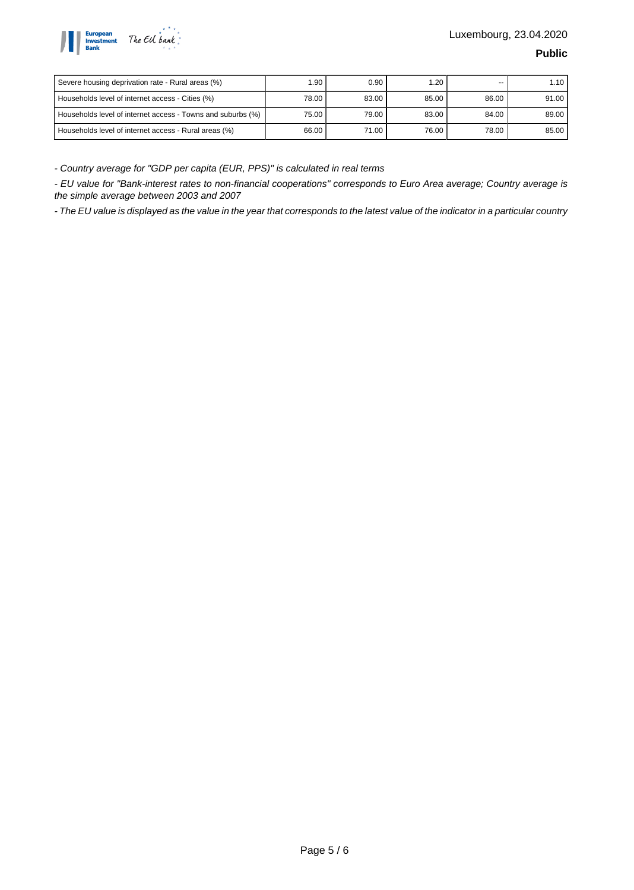

| Severe housing deprivation rate - Rural areas (%)           | 1.90    | 0.90  | 1.20  | --    | 1.10  |
|-------------------------------------------------------------|---------|-------|-------|-------|-------|
| Households level of internet access - Cities (%)            | 78.00 l | 83.00 | 85.00 | 86.00 | 91.00 |
| Households level of internet access - Towns and suburbs (%) | 75.00   | 79.00 | 83.00 | 84.00 | 89.00 |
| Households level of internet access - Rural areas (%)       | 66.00   | 71.00 | 76.00 | 78.00 | 85.00 |

- Country average for "GDP per capita (EUR, PPS)" is calculated in real terms

- EU value for "Bank-interest rates to non-financial cooperations" corresponds to Euro Area average; Country average is the simple average between 2003 and 2007

- The EU value is displayed as the value in the year that corresponds to the latest value of the indicator in a particular country